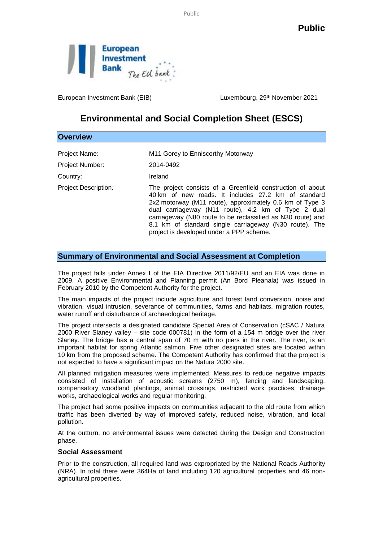Public



European Investment Bank (EIB) Luxembourg, 29<sup>th</sup> November 2021

## **Environmental and Social Completion Sheet (ESCS)**

| <b>Overview</b>                  |                                                                                                                                                                                                                                                                                                                                                                                                           |
|----------------------------------|-----------------------------------------------------------------------------------------------------------------------------------------------------------------------------------------------------------------------------------------------------------------------------------------------------------------------------------------------------------------------------------------------------------|
| Project Name:<br>Project Number: | M11 Gorey to Enniscorthy Motorway<br>2014-0492                                                                                                                                                                                                                                                                                                                                                            |
| Country:                         | Ireland                                                                                                                                                                                                                                                                                                                                                                                                   |
| Project Description:             | The project consists of a Greenfield construction of about<br>40 km of new roads. It includes 27.2 km of standard<br>2x2 motorway (M11 route), approximately 0.6 km of Type 3<br>dual carriageway (N11 route), 4.2 km of Type 2 dual<br>carriageway (N80 route to be reclassified as N30 route) and<br>8.1 km of standard single carriageway (N30 route). The<br>project is developed under a PPP scheme. |

## **Summary of Environmental and Social Assessment at Completion**

The project falls under Annex I of the EIA Directive 2011/92/EU and an EIA was done in 2009. A positive Environmental and Planning permit (An Bord Pleanala) was issued in February 2010 by the Competent Authority for the project.

The main impacts of the project include agriculture and forest land conversion, noise and vibration, visual intrusion, severance of communities, farms and habitats, migration routes, water runoff and disturbance of archaeological heritage.

The project intersects a designated candidate Special Area of Conservation (cSAC / Natura 2000 River Slaney valley – site code 000781) in the form of a 154 m bridge over the river Slaney. The bridge has a central span of 70 m with no piers in the river. The river, is an important habitat for spring Atlantic salmon. Five other designated sites are located within 10 km from the proposed scheme. The Competent Authority has confirmed that the project is not expected to have a significant impact on the Natura 2000 site.

All planned mitigation measures were implemented. Measures to reduce negative impacts consisted of installation of acoustic screens (2750 m), fencing and landscaping, compensatory woodland plantings, animal crossings, restricted work practices, drainage works, archaeological works and regular monitoring.

The project had some positive impacts on communities adjacent to the old route from which traffic has been diverted by way of improved safety, reduced noise, vibration, and local pollution.

At the outturn, no environmental issues were detected during the Design and Construction phase.

## **Social Assessment**

Prior to the construction, all required land was expropriated by the National Roads Authority (NRA). In total there were 364Ha of land including 120 agricultural properties and 46 nonagricultural properties.